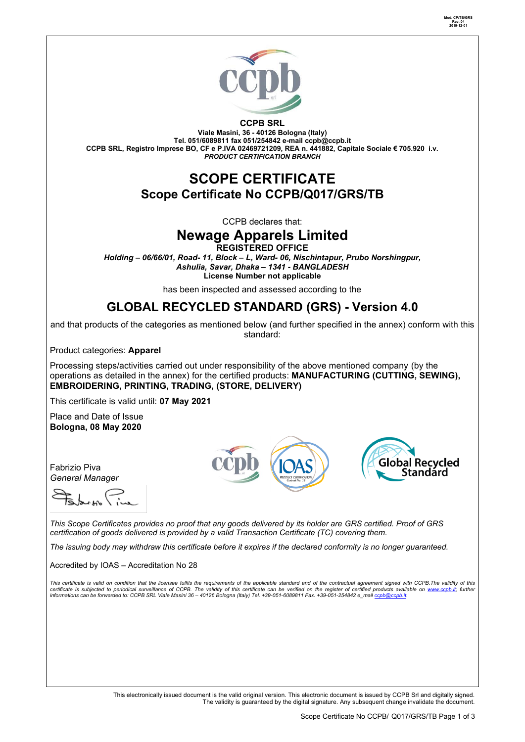



**CCPB SRL**

**Viale Masini, 36 - 40126 Bologna (Italy) Tel. 051/6089811 fax 051/254842 e-mail [ccpb@ccpb.it](mailto:ccpb@ccpb.it) CCPB SRL, Registro Imprese BO, CF e P.IVA 02469721209, REA n. 441882, Capitale Sociale € 705.920 i.v.** *PRODUCT CERTIFICATION BRANCH*

## **SCOPE CERTIFICATE Scope Certificate No CCPB/Q017/GRS/TB**

CCPB declares that:

# **Newage Apparels Limited**

**REGISTERED OFFICE**

*Holding – 06/66/01, Road- 11, Block – L, Ward- 06, Nischintapur, Prubo Norshingpur, Ashulia, Savar, Dhaka – 1341 - BANGLADESH* **License Number not applicable**

has been inspected and assessed according to the

### **GLOBAL RECYCLED STANDARD (GRS) - Version 4.0**

and that products of the categories as mentioned below (and further specified in the annex) conform with this standard:

Product categories: **Apparel**

Processing steps/activities carried out under responsibility of the above mentioned company (by the operations as detailed in the annex) for the certified products: **MANUFACTURING (CUTTING, SEWING), EMBROIDERING, PRINTING, TRADING, (STORE, DELIVERY)**

This certificate is valid until: **07 May 2021**

Place and Date of Issue **Bologna, 08 May 2020**



Fabrizio Piva *General Manager* 

*This Scope Certificates provides no proof that any goods delivered by its holder are GRS certified. Proof of GRS certification of goods delivered is provided by a valid Transaction Certificate (TC) covering them.*

*The issuing body may withdraw this certificate before it expires if the declared conformity is no longer guaranteed.*

Accredited by IOAS – Accreditation No 28

This certificate is valid on condition that the licensee fulfils the requirements of the applicable standard and of the contractual agreement signed with CCPB.The validity of this<br>certificate is subjected to periodical sur

This electronically issued document is the valid original version. This electronic document is issued by CCPB Srl and digitally signed. The validity is guaranteed by the digital signature. Any subsequent change invalidate the document.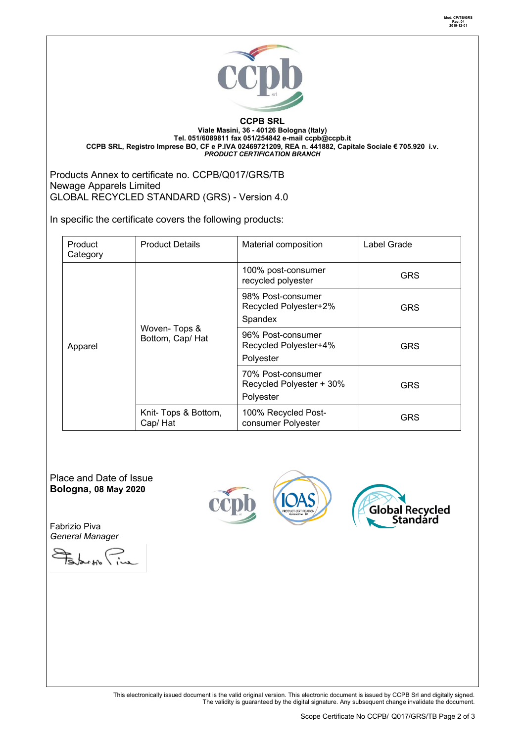



#### **CCPB SRL Viale Masini, 36 - 40126 Bologna (Italy) Tel. 051/6089811 fax 051/254842 e-mail [ccpb@ccpb.it](mailto:ccpb@ccpb.it) CCPB SRL, Registro Imprese BO, CF e P.IVA 02469721209, REA n. 441882, Capitale Sociale € 705.920 i.v.** *PRODUCT CERTIFICATION BRANCH*

Products Annex to certificate no. CCPB/Q017/GRS/TB Newage Apparels Limited GLOBAL RECYCLED STANDARD (GRS) - Version 4.0

In specific the certificate covers the following products:

| Product<br>Category | <b>Product Details</b>           | Material composition                                       | Label Grade |  |
|---------------------|----------------------------------|------------------------------------------------------------|-------------|--|
| Apparel             | Woven-Tops &<br>Bottom, Cap/ Hat | 100% post-consumer<br>recycled polyester                   | GRS         |  |
|                     |                                  | 98% Post-consumer<br>Recycled Polyester+2%<br>Spandex      | GRS         |  |
|                     |                                  | 96% Post-consumer<br>Recycled Polyester+4%<br>Polyester    | GRS         |  |
|                     |                                  | 70% Post-consumer<br>Recycled Polyester + 30%<br>Polyester | GRS         |  |
|                     | Knit- Tops & Bottom,<br>Cap/Hat  | 100% Recycled Post-<br>consumer Polyester                  | GRS         |  |

Place and Date of Issue **Bologna, 08 May 2020**

Fabrizio Piva *General Manager* 

Februar Pin